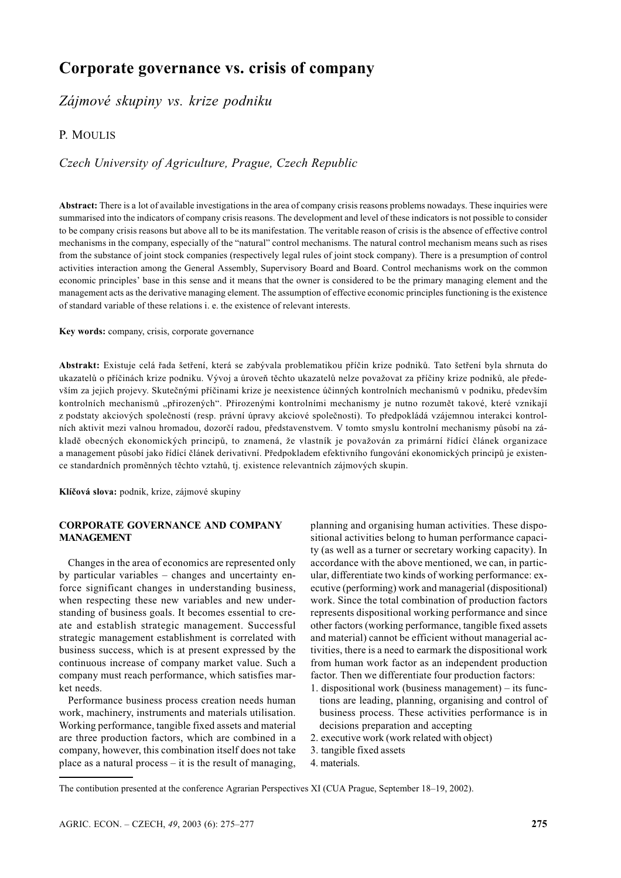# Corporate governance vs. crisis of company

Zájmové skupiny vs. krize podniku

## P. MOULIS

Czech University of Agriculture, Prague, Czech Republic

Abstract: There is a lot of available investigations in the area of company crisis reasons problems nowadays. These inquiries were summarised into the indicators of company crisis reasons. The development and level of these indicators is not possible to consider to be company crisis reasons but above all to be its manifestation. The veritable reason of crisis is the absence of effective control mechanisms in the company, especially of the "natural" control mechanisms. The natural control mechanism means such as rises from the substance of joint stock companies (respectively legal rules of joint stock company). There is a presumption of control activities interaction among the General Assembly, Supervisory Board and Board. Control mechanisms work on the common economic principles' base in this sense and it means that the owner is considered to be the primary managing element and the management acts as the derivative managing element. The assumption of effective economic principles functioning is the existence of standard variable of these relations *i. e.* the existence of relevant interests.

Key words: company, crisis, corporate governance

Abstrakt: Existuje celá řada šetření, která se zabývala problematikou příčin krize podniků. Tato šetření byla shrnuta do ukazatelů o příčinách krize podniku. Vývoj a úroveň těchto ukazatelů nelze považovat za příčiny krize podniků, ale především za jejich projevy. Skutečnými příčinami krize je neexistence účinných kontrolních mechanismů v podniku, především kontrolních mechanismů "přirozených". Přirozenými kontrolními mechanismy je nutno rozumět takové, které vznikají z podstaty akciových společností (resp. právní úpravy akciové společnosti). To předpokládá vzájemnou interakci kontrolních aktivit mezi valnou hromadou, dozorčí radou, představenstvem. V tomto smyslu kontrolní mechanismy působí na základě obecných ekonomických principů, to znamená, že vlastník je považován za primární řídící článek organizace a management působí jako řídící článek derivativní. Předpokladem efektivního fungování ekonomických principů je existence standardních proměnných těchto vztahů, tj. existence relevantních zájmových skupin.

Klíčová slova: podnik, krize, zájmové skupiny

#### **CORPORATE GOVERNANCE AND COMPANY MANAGEMENT**

Changes in the area of economics are represented only by particular variables - changes and uncertainty enforce significant changes in understanding business, when respecting these new variables and new understanding of business goals. It becomes essential to create and establish strategic management. Successful strategic management establishment is correlated with business success, which is at present expressed by the continuous increase of company market value. Such a company must reach performance, which satisfies market needs.

Performance business process creation needs human work, machinery, instruments and materials utilisation. Working performance, tangible fixed assets and material are three production factors, which are combined in a company, however, this combination itself does not take place as a natural process  $-$  it is the result of managing, planning and organising human activities. These dispositional activities belong to human performance capacity (as well as a turner or secretary working capacity). In accordance with the above mentioned, we can, in particular, differentiate two kinds of working performance: executive (performing) work and managerial (dispositional) work. Since the total combination of production factors represents dispositional working performance and since other factors (working performance, tangible fixed assets and material) cannot be efficient without managerial activities, there is a need to earmark the dispositional work from human work factor as an independent production factor. Then we differentiate four production factors:

- 1. dispositional work (business management) its functions are leading, planning, organising and control of business process. These activities performance is in decisions preparation and accepting
- 2. executive work (work related with object)
- 3. tangible fixed assets
- 4. materials.

The contibution presented at the conference Agrarian Perspectives XI (CUA Prague, September 18–19, 2002).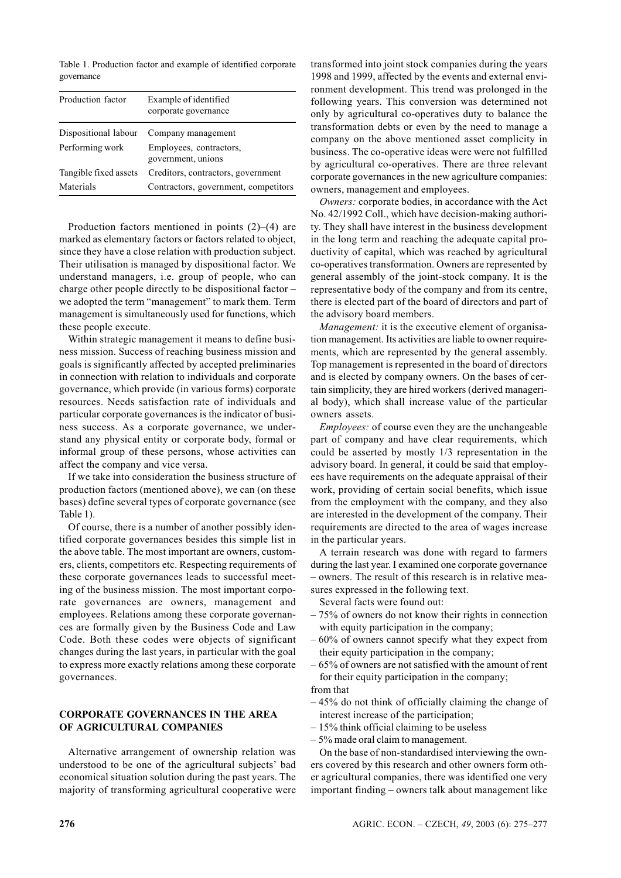Table 1. Production factor and example of identified corporate governance

| Production factor     | Example of identified<br>corporate governance |
|-----------------------|-----------------------------------------------|
| Dispositional labour  | Company management                            |
| Performing work       | Employees, contractors,<br>government, unions |
| Tangible fixed assets | Creditors, contractors, government            |
| Materials             | Contractors, government, competitors          |

Production factors mentioned in points  $(2)$ – $(4)$  are marked as elementary factors or factors related to object, since they have a close relation with production subject. Their utilisation is managed by dispositional factor. We understand managers, i.e. group of people, who can charge other people directly to be dispositional factor – we adopted the term "management" to mark them. Term management is simultaneously used for functions, which these people execute.

Within strategic management it means to define business mission. Success of reaching business mission and goals is significantly affected by accepted preliminaries in connection with relation to individuals and corporate governance, which provide (in various forms) corporate resources. Needs satisfaction rate of individuals and particular corporate governances is the indicator of business success. As a corporate governance, we understand any physical entity or corporate body, formal or informal group of these persons, whose activities can affect the company and vice versa.

If we take into consideration the business structure of production factors (mentioned above), we can (on these bases) define several types of corporate governance (see Table 1).

Of course, there is a number of another possibly identified corporate governances besides this simple list in the above table. The most important are owners, customers, clients, competitors etc. Respecting requirements of these corporate governances leads to successful meeting of the business mission. The most important corporate governances are owners, management and employees. Relations among these corporate governances are formally given by the Business Code and Law Code. Both these codes were objects of significant changes during the last years, in particular with the goal to express more exactly relations among these corporate governances.

## **CORPORATE GOVERNANCES IN THE AREA** OF AGRICULTURAL COMPANIES

Alternative arrangement of ownership relation was understood to be one of the agricultural subjects' bad economical situation solution during the past years. The majority of transforming agricultural cooperative were transformed into joint stock companies during the years 1998 and 1999, affected by the events and external environment development. This trend was prolonged in the following years. This conversion was determined not only by agricultural co-operatives duty to balance the transformation debts or even by the need to manage a company on the above mentioned asset complicity in business. The co-operative ideas were were not fulfilled by agricultural co-operatives. There are three relevant corporate governances in the new agriculture companies: owners, management and employees.

Owners: corporate bodies, in accordance with the Act No. 42/1992 Coll., which have decision-making authority. They shall have interest in the business development in the long term and reaching the adequate capital productivity of capital, which was reached by agricultural co-operatives transformation. Owners are represented by general assembly of the joint-stock company. It is the representative body of the company and from its centre, there is elected part of the board of directors and part of the advisory board members.

*Management:* it is the executive element of organisation management. Its activities are liable to owner requirements, which are represented by the general assembly. Top management is represented in the board of directors and is elected by company owners. On the bases of certain simplicity, they are hired workers (derived managerial body), which shall increase value of the particular owners assets.

Employees: of course even they are the unchangeable part of company and have clear requirements, which could be asserted by mostly 1/3 representation in the advisory board. In general, it could be said that employees have requirements on the adequate appraisal of their work, providing of certain social benefits, which issue from the employment with the company, and they also are interested in the development of the company. Their requirements are directed to the area of wages increase in the particular years.

A terrain research was done with regard to farmers during the last year. I examined one corporate governance - owners. The result of this research is in relative measures expressed in the following text.

Several facts were found out:

- $-75\%$  of owners do not know their rights in connection with equity participation in the company;
- $-60\%$  of owners cannot specify what they expect from their equity participation in the company;
- 65% of owners are not satisfied with the amount of rent for their equity participation in the company; from that
- $-45\%$  do not think of officially claiming the change of interest increase of the participation;
- $-15\%$  think official claiming to be useless
- $-5\%$  made oral claim to management.

On the base of non-standardised interviewing the owners covered by this research and other owners form other agricultural companies, there was identified one very important finding - owners talk about management like